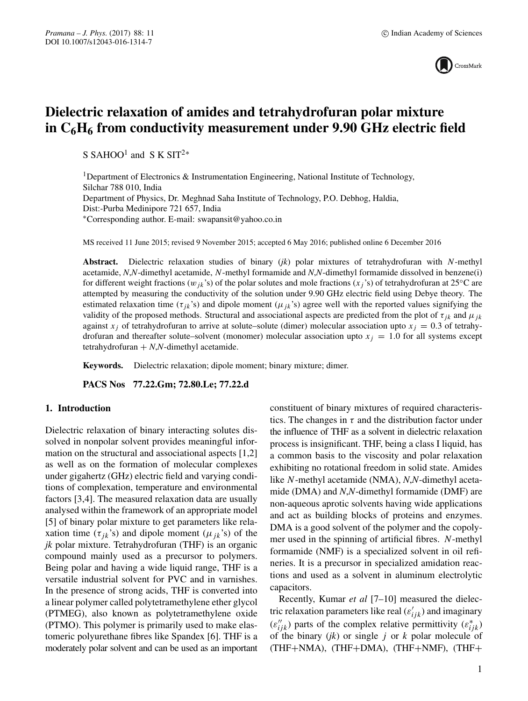

# **Dielectric relaxation of amides and tetrahydrofuran polar mixture in C6H6 from conductivity measurement under 9.90 GHz electric field**

S SAHOO<sup>1</sup> and S K SIT<sup>2\*</sup>

<sup>1</sup>Department of Electronics & Instrumentation Engineering, National Institute of Technology, Silchar 788 010, India Department of Physics, Dr. Meghnad Saha Institute of Technology, P.O. Debhog, Haldia, Dist:-Purba Medinipore 721 657, India ∗Corresponding author. E-mail: swapansit@yahoo.co.in

MS received 11 June 2015; revised 9 November 2015; accepted 6 May 2016; published online 6 December 2016

**Abstract.** Dielectric relaxation studies of binary (*jk*) polar mixtures of tetrahydrofuran with N-methyl acetamide, *N*,*N*-dimethyl acetamide, N-methyl formamide and *N*,*N*-dimethyl formamide dissolved in benzene(i) for different weight fractions ( $w_{jk}$ 's) of the polar solutes and mole fractions ( $x_j$ 's) of tetrahydrofuran at 25°C are attempted by measuring the conductivity of the solution under 9.90 GHz electric field using Debye theory. The estimated relaxation time ( $\tau_{ik}$ 's) and dipole moment ( $\mu_{ik}$ 's) agree well with the reported values signifying the validity of the proposed methods. Structural and associational aspects are predicted from the plot of  $\tau_{ik}$  and  $\mu_{ik}$ against  $x_j$  of tetrahydrofuran to arrive at solute–solute (dimer) molecular association upto  $x_j = 0.3$  of tetrahydrofuran and thereafter solute–solvent (monomer) molecular association upto  $x<sub>i</sub> = 1.0$  for all systems except tetrahydrofuran  $+ N$ , $N$ -dimethyl acetamide.

**Keywords.** Dielectric relaxation; dipole moment; binary mixture; dimer.

**PACS Nos 77.22.Gm; 72.80.Le; 77.22.d**

### **1. Introduction**

Dielectric relaxation of binary interacting solutes dissolved in nonpolar solvent provides meaningful information on the structural and associational aspects [1,2] as well as on the formation of molecular complexes under gigahertz (GHz) electric field and varying conditions of complexation, temperature and environmental factors [3,4]. The measured relaxation data are usually analysed within the framework of an appropriate model [5] of binary polar mixture to get parameters like relaxation time ( $\tau_{ik}$ 's) and dipole moment ( $\mu_{ik}$ 's) of the *jk* polar mixture. Tetrahydrofuran (THF) is an organic compound mainly used as a precursor to polymers. Being polar and having a wide liquid range, THF is a versatile industrial solvent for PVC and in varnishes. In the presence of strong acids, THF is converted into a linear polymer called polytetramethylene ether glycol (PTMEG), also known as polytetramethylene oxide (PTMO). This polymer is primarily used to make elastomeric polyurethane fibres like Spandex [6]. THF is a moderately polar solvent and can be used as an important constituent of binary mixtures of required characteristics. The changes in  $\tau$  and the distribution factor under the influence of THF as a solvent in dielectric relaxation process is insignificant. THF, being a class I liquid, has a common basis to the viscosity and polar relaxation exhibiting no rotational freedom in solid state. Amides like N-methyl acetamide (NMA), *N*,*N*-dimethyl acetamide (DMA) and *N*,*N*-dimethyl formamide (DMF) are non-aqueous aprotic solvents having wide applications and act as building blocks of proteins and enzymes. DMA is a good solvent of the polymer and the copolymer used in the spinning of artificial fibres. N-methyl formamide (NMF) is a specialized solvent in oil refineries. It is a precursor in specialized amidation reactions and used as a solvent in aluminum electrolytic capacitors.

Recently, Kumar *et al* [7–10] measured the dielectric relaxation parameters like real  $(\varepsilon'_{ijk})$  and imaginary  $(\varepsilon_{ijk}^{"})$  parts of the complex relative permittivity  $(\varepsilon_{ijk}^{*})$ of the binary  $(jk)$  or single  $j$  or  $k$  polar molecule of (THF+NMA), (THF+DMA), (THF+NMF), (THF+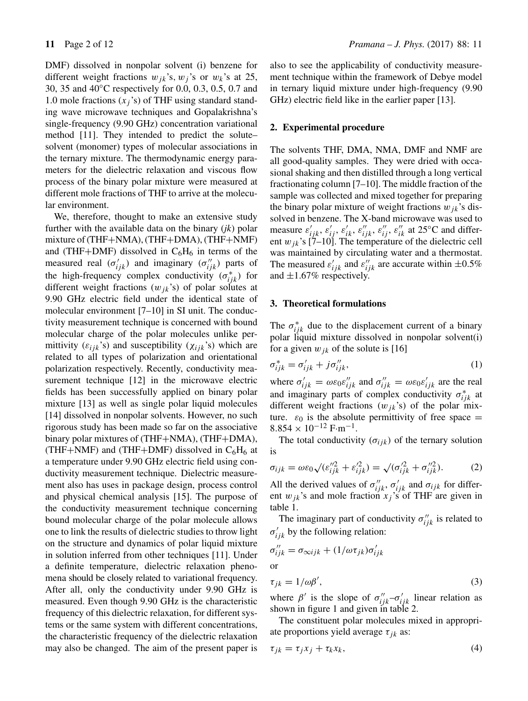DMF) dissolved in nonpolar solvent (i) benzene for different weight fractions  $w_{jk}$ 's,  $w_j$ 's or  $w_k$ 's at 25, 30, 35 and 40◦C respectively for 0.0, 0.3, 0.5, 0.7 and 1.0 mole fractions  $(x_j)$  of THF using standard standing wave microwave techniques and Gopalakrishna's single-frequency (9.90 GHz) concentration variational method [11]. They intended to predict the solute– solvent (monomer) types of molecular associations in the ternary mixture. The thermodynamic energy parameters for the dielectric relaxation and viscous flow process of the binary polar mixture were measured at different mole fractions of THF to arrive at the molecular environment.

We, therefore, thought to make an extensive study further with the available data on the binary (*jk*) polar mixture of (THF+NMA), (THF+DMA), (THF+NMF) and (THF+DMF) dissolved in  $C_6H_6$  in terms of the measured real  $(\sigma_{ijk}')$  and imaginary  $(\sigma_{ijk}'')$  parts of the high-frequency complex conductivity  $(\sigma_{ijk}^*)$  for different weight fractions  $(w_{jk})$  of polar solutes at 9.90 GHz electric field under the identical state of molecular environment [7–10] in SI unit. The conductivity measurement technique is concerned with bound molecular charge of the polar molecules unlike permittivity  $(\varepsilon_{ijk}$ 's) and susceptibility  $(\chi_{ijk}$ 's) which are related to all types of polarization and orientational polarization respectively. Recently, conductivity measurement technique [12] in the microwave electric fields has been successfully applied on binary polar mixture [13] as well as single polar liquid molecules [14] dissolved in nonpolar solvents. However, no such rigorous study has been made so far on the associative binary polar mixtures of (THF+NMA), (THF+DMA), (THF+NMF) and (THF+DMF) dissolved in  $C_6H_6$  at a temperature under 9.90 GHz electric field using conductivity measurement technique. Dielectric measurement also has uses in package design, process control and physical chemical analysis [15]. The purpose of the conductivity measurement technique concerning bound molecular charge of the polar molecule allows one to link the results of dielectric studies to throw light on the structure and dynamics of polar liquid mixture in solution inferred from other techniques [11]. Under a definite temperature, dielectric relaxation phenomena should be closely related to variational frequency. After all, only the conductivity under 9.90 GHz is measured. Even though 9.90 GHz is the characteristic frequency of this dielectric relaxation, for different systems or the same system with different concentrations, the characteristic frequency of the dielectric relaxation may also be changed. The aim of the present paper is also to see the applicability of conductivity measurement technique within the framework of Debye model in ternary liquid mixture under high-frequency (9.90 GHz) electric field like in the earlier paper [13].

### **2. Experimental procedure**

The solvents THF, DMA, NMA, DMF and NMF are all good-quality samples. They were dried with occasional shaking and then distilled through a long vertical fractionating column [7–10]. The middle fraction of the sample was collected and mixed together for preparing the binary polar mixture of weight fractions  $w_{jk}$ 's dissolved in benzene. The X-band microwave was used to measure  $\varepsilon'_{ijk}$ ,  $\varepsilon'_{ij}$ ,  $\varepsilon'_{ik}$ ,  $\varepsilon''_{ijk}$ ,  $\varepsilon''_{ij}$ ,  $\varepsilon''_{ik}$  at 25°C and different  $w_{jk}$ 's [7–10]. The temperature of the dielectric cell was maintained by circulating water and a thermostat. The measured  $\varepsilon'_{ijk}$  and  $\varepsilon''_{ijk}$  are accurate within  $\pm 0.5\%$ and  $\pm 1.67\%$  respectively.

### **3. Theoretical formulations**

The  $\sigma_{ijk}^*$  due to the displacement current of a binary polar liquid mixture dissolved in nonpolar solvent(i) for a given  $w_{ik}$  of the solute is [16]

$$
\sigma_{ijk}^* = \sigma_{ijk}^{\prime} + j\sigma_{ijk}^{\prime\prime},\tag{1}
$$

where  $\sigma'_{ijk} = \omega \varepsilon_0 \varepsilon''_{ijk}$  and  $\sigma''_{ijk} = \omega \varepsilon_0 \varepsilon'_{ijk}$  are the real and imaginary parts of complex conductivity  $\sigma_{ijk}^*$  at different weight fractions  $(w_{jk})$  of the polar mixture.  $\varepsilon_0$  is the absolute permittivity of free space =  $8.854 \times 10^{-12}$  F·m<sup>-1</sup>.

The total conductivity  $(\sigma_{ijk})$  of the ternary solution is

$$
\sigma_{ijk} = \omega \varepsilon_0 \sqrt{(\varepsilon_{ijk}^{\prime\prime 2} + \varepsilon_{ijk}^{\prime 2})} = \sqrt{(\sigma_{ijk}^{\prime 2} + \sigma_{ijk}^{\prime\prime 2})}.
$$
 (2)

All the derived values of  $\sigma_{ijk}''$ ,  $\sigma_{ijk}'$  and  $\sigma_{ijk}$  for different  $w_{jk}$ 's and mole fraction  $x_j$ 's of THF are given in table 1.

The imaginary part of conductivity  $\sigma_{ijk}^{\prime\prime}$  is related to  $\sigma'_{ijk}$  by the following relation:

$$
\sigma_{ijk}'' = \sigma_{\infty ijk} + (1/\omega \tau_{jk}) \sigma_{ijk}'
$$
  
or  

$$
\tau_{jk} = 1/\omega \beta',
$$
 (3)

where  $\beta'$  is the slope of  $\sigma_{ijk}'' - \sigma_{ijk}$  linear relation as shown in figure 1 and given in table 2.

The constituent polar molecules mixed in appropriate proportions yield average  $\tau_{jk}$  as:

$$
\tau_{jk} = \tau_j x_j + \tau_k x_k, \tag{4}
$$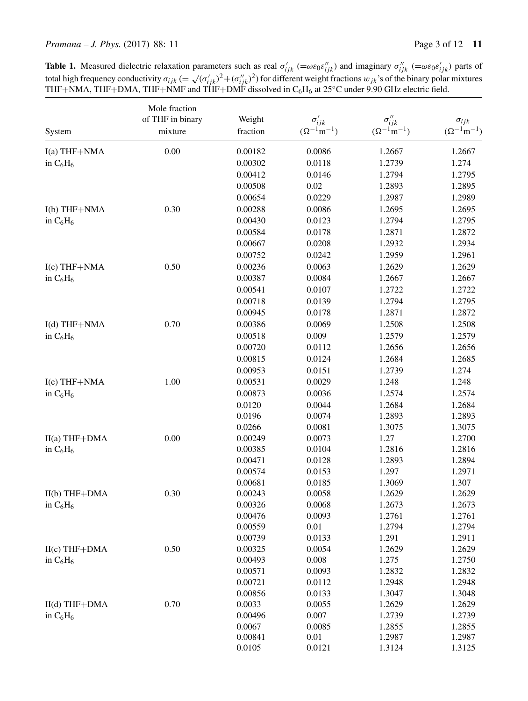*Pramana – J. Phys.* (2017) 88: 11 Page 3 of 12 **11** 

**Table 1.** Measured dielectric relaxation parameters such as real  $\sigma'_{ijk}$  (= $\omega \varepsilon_0 \varepsilon''_{ijk}$ ) and imaginary  $\sigma''_{ijk}$  (= $\omega \varepsilon_0 \varepsilon'_{ijk}$ ) parts of total high frequency conductivity  $\sigma_{ijk} (= \sqrt{(\sigma_{ijk}')^2 + (\sigma_{ijk}'')^2})$  for different weight fractions  $w_{jk}$ 's of the binary polar mixtures THF+NMA, THF+DMA, THF+NMF and THF+DMF dissolved in  $C_6H_6$  at 25 $°C$  under 9.90 GHz electric field.

|                 | Mole fraction    |          |                        |                        |                       |
|-----------------|------------------|----------|------------------------|------------------------|-----------------------|
|                 | of THF in binary | Weight   | $\sigma'_{ijk}$        | $\sigma''_{ijk}$       | $\sigma_{ijk}$        |
| System          | mixture          | fraction | $(\Omega^{-1} m^{-1})$ | $(\Omega^{-1} m^{-1})$ | $(\Omega^{-1}m^{-1})$ |
| $I(a)$ THF+NMA  | 0.00             | 0.00182  | 0.0086                 | 1.2667                 | 1.2667                |
| in $C_6H_6$     |                  | 0.00302  | 0.0118                 | 1.2739                 | 1.274                 |
|                 |                  | 0.00412  | 0.0146                 | 1.2794                 | 1.2795                |
|                 |                  | 0.00508  | 0.02                   | 1.2893                 | 1.2895                |
|                 |                  | 0.00654  | 0.0229                 | 1.2987                 | 1.2989                |
| $I(b)$ THF+NMA  | 0.30             | 0.00288  | 0.0086                 | 1.2695                 | 1.2695                |
| in $C_6H_6$     |                  | 0.00430  | 0.0123                 | 1.2794                 | 1.2795                |
|                 |                  | 0.00584  | 0.0178                 | 1.2871                 | 1.2872                |
|                 |                  | 0.00667  | 0.0208                 | 1.2932                 | 1.2934                |
|                 |                  | 0.00752  | 0.0242                 | 1.2959                 | 1.2961                |
| $I(c)$ THF+NMA  | 0.50             | 0.00236  | 0.0063                 | 1.2629                 | 1.2629                |
| in $C_6H_6$     |                  | 0.00387  | 0.0084                 | 1.2667                 | 1.2667                |
|                 |                  | 0.00541  | 0.0107                 | 1.2722                 | 1.2722                |
|                 |                  | 0.00718  | 0.0139                 | 1.2794                 | 1.2795                |
|                 |                  | 0.00945  | 0.0178                 | 1.2871                 | 1.2872                |
| $I(d)$ THF+NMA  | 0.70             | 0.00386  | 0.0069                 | 1.2508                 | 1.2508                |
| in $C_6H_6$     |                  | 0.00518  | 0.009                  | 1.2579                 | 1.2579                |
|                 |                  | 0.00720  | 0.0112                 | 1.2656                 | 1.2656                |
|                 |                  | 0.00815  | 0.0124                 | 1.2684                 | 1.2685                |
|                 |                  | 0.00953  | 0.0151                 | 1.2739                 | 1.274                 |
| I(e) THF+NMA    | 1.00             | 0.00531  | 0.0029                 | 1.248                  | 1.248                 |
| in $C_6H_6$     |                  | 0.00873  | 0.0036                 | 1.2574                 | 1.2574                |
|                 |                  | 0.0120   | 0.0044                 | 1.2684                 | 1.2684                |
|                 |                  | 0.0196   | 0.0074                 | 1.2893                 | 1.2893                |
|                 |                  | 0.0266   | 0.0081                 | 1.3075                 | 1.3075                |
| $II(a)$ THF+DMA | $0.00\,$         | 0.00249  | 0.0073                 | 1.27                   | 1.2700                |
| in $C_6H_6$     |                  | 0.00385  | 0.0104                 | 1.2816                 | 1.2816                |
|                 |                  | 0.00471  | 0.0128                 | 1.2893                 | 1.2894                |
|                 |                  | 0.00574  | 0.0153                 | 1.297                  | 1.2971                |
|                 |                  | 0.00681  | 0.0185                 | 1.3069                 | 1.307                 |
| $II(b)$ THF+DMA | 0.30             | 0.00243  | 0.0058                 | 1.2629                 | 1.2629                |
| in $C_6H_6$     |                  | 0.00326  | 0.0068                 | 1.2673                 | 1.2673                |
|                 |                  | 0.00476  | 0.0093                 | 1.2761                 | 1.2761                |
|                 |                  | 0.00559  | 0.01                   | 1.2794                 | 1.2794                |
|                 |                  | 0.00739  | 0.0133                 | 1.291                  | 1.2911                |
| $H(c)$ THF+DMA  | 0.50             | 0.00325  | 0.0054                 | 1.2629                 | 1.2629                |
| in $C_6H_6$     |                  | 0.00493  | 0.008                  | 1.275                  | 1.2750                |
|                 |                  | 0.00571  | 0.0093                 | 1.2832                 | 1.2832                |
|                 |                  | 0.00721  | 0.0112                 | 1.2948                 | 1.2948                |
|                 |                  | 0.00856  | 0.0133                 | 1.3047                 | 1.3048                |
| $II(d)$ THF+DMA | 0.70             | 0.0033   | 0.0055                 | 1.2629                 | 1.2629                |
| in $C_6H_6$     |                  | 0.00496  | 0.007                  | 1.2739                 | 1.2739                |
|                 |                  | 0.0067   | 0.0085                 | 1.2855                 | 1.2855                |
|                 |                  | 0.00841  | 0.01                   | 1.2987                 | 1.2987                |
|                 |                  | 0.0105   | 0.0121                 | 1.3124                 | 1.3125                |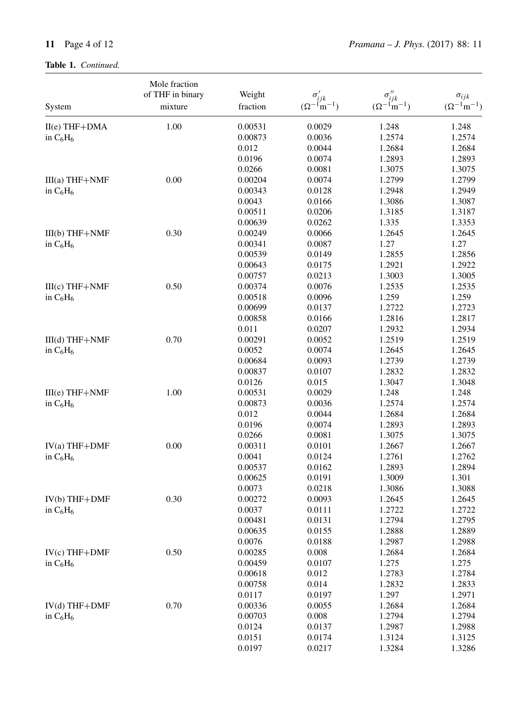## **Table 1.** *Continued.*

|                  | Mole fraction<br>of THF in binary | Weight   |                                           | $\sigma''_{ijk}$       |                                         |
|------------------|-----------------------------------|----------|-------------------------------------------|------------------------|-----------------------------------------|
| System           | mixture                           | fraction | $\sigma'_{ijk}$<br>$(\Omega^{-1} m^{-1})$ | $(\Omega^{-1} m^{-1})$ | $\sigma_{ijk}$<br>$(\Omega^{-1}m^{-1})$ |
| $II(e)$ THF+DMA  | 1.00                              | 0.00531  | 0.0029                                    | 1.248                  | 1.248                                   |
|                  |                                   | 0.00873  | 0.0036                                    | 1.2574                 | 1.2574                                  |
| in $C_6H_6$      |                                   | 0.012    | 0.0044                                    | 1.2684                 | 1.2684                                  |
|                  |                                   | 0.0196   | 0.0074                                    | 1.2893                 | 1.2893                                  |
|                  |                                   | 0.0266   | 0.0081                                    | 1.3075                 | 1.3075                                  |
| III(a) THF+NMF   | 0.00                              | 0.00204  | 0.0074                                    | 1.2799                 | 1.2799                                  |
|                  |                                   | 0.00343  | 0.0128                                    | 1.2948                 | 1.2949                                  |
| in $C_6H_6$      |                                   | 0.0043   | 0.0166                                    | 1.3086                 | 1.3087                                  |
|                  |                                   | 0.00511  | 0.0206                                    | 1.3185                 | 1.3187                                  |
|                  |                                   | 0.00639  | 0.0262                                    | 1.335                  | 1.3353                                  |
|                  | 0.30                              | 0.00249  | 0.0066                                    |                        |                                         |
| $III(b)$ THF+NMF |                                   | 0.00341  | 0.0087                                    | 1.2645<br>1.27         | 1.2645<br>1.27                          |
| in $C_6H_6$      |                                   | 0.00539  | 0.0149                                    | 1.2855                 | 1.2856                                  |
|                  |                                   | 0.00643  | 0.0175                                    | 1.2921                 | 1.2922                                  |
|                  |                                   | 0.00757  | 0.0213                                    | 1.3003                 | 1.3005                                  |
| $III(c) THF+NMF$ | 0.50                              |          |                                           |                        |                                         |
|                  |                                   | 0.00374  | 0.0076                                    | 1.2535                 | 1.2535                                  |
| in $C_6H_6$      |                                   | 0.00518  | 0.0096                                    | 1.259                  | 1.259                                   |
|                  |                                   | 0.00699  | 0.0137                                    | 1.2722                 | 1.2723                                  |
|                  |                                   | 0.00858  | 0.0166                                    | 1.2816                 | 1.2817                                  |
|                  |                                   | 0.011    | 0.0207                                    | 1.2932                 | 1.2934                                  |
| $III(d)$ THF+NMF | 0.70                              | 0.00291  | 0.0052                                    | 1.2519                 | 1.2519                                  |
| in $C_6H_6$      |                                   | 0.0052   | 0.0074                                    | 1.2645                 | 1.2645                                  |
|                  |                                   | 0.00684  | 0.0093                                    | 1.2739                 | 1.2739                                  |
|                  |                                   | 0.00837  | 0.0107                                    | 1.2832                 | 1.2832                                  |
|                  |                                   | 0.0126   | 0.015                                     | 1.3047                 | 1.3048                                  |
| III(e) THF+NMF   | 1.00                              | 0.00531  | 0.0029                                    | 1.248                  | 1.248                                   |
| in $C_6H_6$      |                                   | 0.00873  | 0.0036                                    | 1.2574                 | 1.2574                                  |
|                  |                                   | 0.012    | 0.0044                                    | 1.2684                 | 1.2684                                  |
|                  |                                   | 0.0196   | 0.0074                                    | 1.2893                 | 1.2893                                  |
|                  |                                   | 0.0266   | 0.0081                                    | 1.3075                 | 1.3075                                  |
| $IV(a) THF+DMF$  | 0.00                              | 0.00311  | 0.0101                                    | 1.2667                 | 1.2667                                  |
| in $C_6H_6$      |                                   | 0.0041   | 0.0124                                    | 1.2761                 | 1.2762                                  |
|                  |                                   | 0.00537  | 0.0162                                    | 1.2893                 | 1.2894                                  |
|                  |                                   | 0.00625  | 0.0191                                    | 1.3009                 | 1.301                                   |
|                  |                                   | 0.0073   | 0.0218                                    | 1.3086                 | 1.3088                                  |
| $IV(b)$ THF+DMF  | 0.30                              | 0.00272  | 0.0093                                    | 1.2645                 | 1.2645                                  |
| in $C_6H_6$      |                                   | 0.0037   | 0.0111                                    | 1.2722                 | 1.2722                                  |
|                  |                                   | 0.00481  | 0.0131                                    | 1.2794                 | 1.2795                                  |
|                  |                                   | 0.00635  | 0.0155                                    | 1.2888                 | 1.2889                                  |
|                  |                                   | 0.0076   | 0.0188                                    | 1.2987                 | 1.2988                                  |
| $IV(c)$ THF+DMF  | 0.50                              | 0.00285  | 0.008                                     | 1.2684                 | 1.2684                                  |
| in $C_6H_6$      |                                   | 0.00459  | 0.0107                                    | 1.275                  | 1.275                                   |
|                  |                                   | 0.00618  | 0.012                                     | 1.2783                 | 1.2784                                  |
|                  |                                   | 0.00758  | 0.014                                     | 1.2832                 | 1.2833                                  |
|                  |                                   | 0.0117   | 0.0197                                    | 1.297                  | 1.2971                                  |
| $IV(d)$ THF+DMF  | 0.70                              | 0.00336  | 0.0055                                    | 1.2684                 | 1.2684                                  |
| in $C_6H_6$      |                                   | 0.00703  | 0.008                                     | 1.2794                 | 1.2794                                  |
|                  |                                   | 0.0124   | 0.0137                                    | 1.2987                 | 1.2988                                  |
|                  |                                   | 0.0151   | 0.0174                                    | 1.3124                 | 1.3125                                  |
|                  |                                   | 0.0197   | 0.0217                                    | 1.3284                 | 1.3286                                  |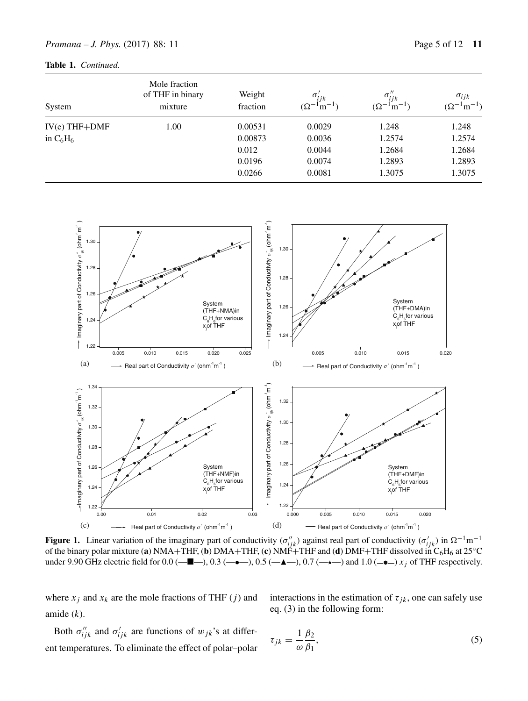| System          | Mole fraction<br>of THF in binary<br>mixture | Weight<br>fraction | $\sigma'_{ijk}$<br>$(\Omega^{-1}m^{-1})$ | $\sigma_{ijk}''$<br>$\cdot$ $\cdot$ m <sup>-1</sup> )<br>$(\Omega^-)$ | $\sigma_{ijk}$<br>$(\Omega^{-1}m^{-1})$ |
|-----------------|----------------------------------------------|--------------------|------------------------------------------|-----------------------------------------------------------------------|-----------------------------------------|
| $IV(e)$ THF+DMF | 1.00                                         | 0.00531            | 0.0029                                   | 1.248                                                                 | 1.248                                   |
| in $C_6H_6$     |                                              | 0.00873            | 0.0036                                   | 1.2574                                                                | 1.2574                                  |
|                 |                                              | 0.012              | 0.0044                                   | 1.2684                                                                | 1.2684                                  |
|                 |                                              | 0.0196             | 0.0074                                   | 1.2893                                                                | 1.2893                                  |
|                 |                                              | 0.0266             | 0.0081                                   | 1.3075                                                                | 1.3075                                  |



**Figure 1.** Linear variation of the imaginary part of conductivity  $(\sigma_{ijk}'')$  against real part of conductivity  $(\sigma_{ijk}')$  in  $\Omega^{-1}$ m<sup>-1</sup> of the binary polar mixture (**a**) NMA+THF, (**b**) DMA+THF, (**c**) NMF+THF and (**d**) DMF+THF dissolved in C6H6 at 25◦C under 9.90 GHz electric field for  $0.0$  ( $-\blacksquare$ ),  $0.3$  ( $-\bullet$ ),  $0.5$  ( $-\blacktriangle$ ),  $0.7$  ( $-\star$ ) and  $1.0$  ( $-\bullet$ )  $x_j$  of THF respectively.

where  $x_j$  and  $x_k$  are the mole fractions of THF (j) and amide  $(k)$ .

interactions in the estimation of  $\tau_{jk}$ , one can safely use eq. (3) in the following form:

Both  $\sigma_{ijk}^{\prime\prime}$  and  $\sigma_{ijk}^{\prime}$  are functions of  $w_{jk}$ 's at different temperatures. To eliminate the effect of polar–polar

$$
\tau_{jk} = \frac{1}{\omega} \frac{\beta_2}{\beta_1},\tag{5}
$$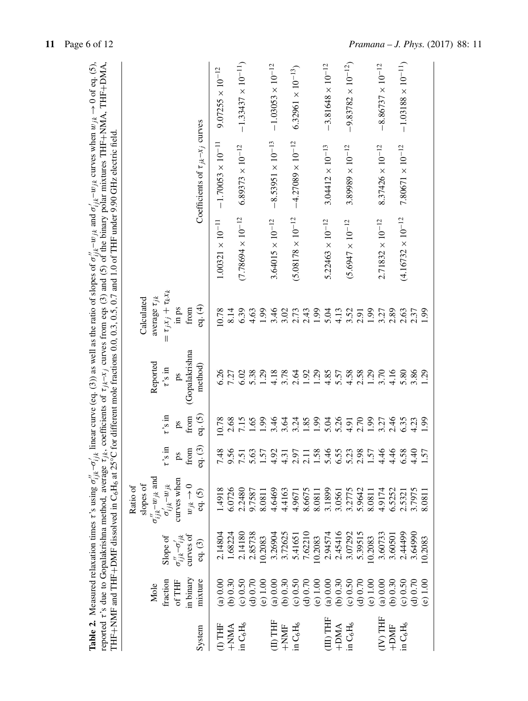|                                  |                 |                                                       |                               |                                                             |                |                |                             | THF+NMF and THF+DMF dissolved in C <sub>6</sub> H <sub>6</sub> at 25°C for different mole fractions 0.0, 0.3, 0.5, 0.7 and 1.0 of THF under 9.90 GHz electric field. |                                            | <b>Table 2.</b> Measured relaxation times r's using $\sigma_{ijk}^{-1} - \sigma_{ijk}^{-1}$ linear curve (eq. (3)) as well as the ratio of slopes of $\sigma_{ijk}^{1} - w_{jk}$ and $\sigma_{ijk}^{-1} - w_{jk}$ curves when $w_{jk} \to 0$ of eq. (5),<br>reported $\tau$ 's due to Gopalakrishna method, average $\tau_{jk}$ , coefficients of $\tau_{jk}$ - $x_j$ curves from eqs (3) and (5) of the binary polar mixtures THF+NMA, THF+DMA, |
|----------------------------------|-----------------|-------------------------------------------------------|-------------------------------|-------------------------------------------------------------|----------------|----------------|-----------------------------|----------------------------------------------------------------------------------------------------------------------------------------------------------------------|--------------------------------------------|--------------------------------------------------------------------------------------------------------------------------------------------------------------------------------------------------------------------------------------------------------------------------------------------------------------------------------------------------------------------------------------------------------------------------------------------------|
|                                  |                 |                                                       | slopes of<br>Ratio of         |                                                             |                |                | Calculated                  |                                                                                                                                                                      |                                            |                                                                                                                                                                                                                                                                                                                                                                                                                                                  |
|                                  | Mole            |                                                       | $\sigma''_{ijk} - w_{jk}$ and |                                                             |                | Reported       | average $\tau_{jk}$         |                                                                                                                                                                      |                                            |                                                                                                                                                                                                                                                                                                                                                                                                                                                  |
|                                  | fraction        | Slope of                                              | $\sigma^{'}_{ijk}$ - $w_{jk}$ | $\sin s_{\textit{\textbf{.2}}}$                             | $\sin s$ , $t$ | $\vec{r}$ in   | $= \tau_j x_j + \tau_k x_k$ |                                                                                                                                                                      |                                            |                                                                                                                                                                                                                                                                                                                                                                                                                                                  |
|                                  | of THF          | $\sigma^{\prime\prime}_{ijk} - \sigma^{\prime}_{ijk}$ | curves when                   | 8                                                           | gd             | ps             | in ps                       |                                                                                                                                                                      |                                            |                                                                                                                                                                                                                                                                                                                                                                                                                                                  |
|                                  | in binary       | curves of                                             | $w_{jk} \rightarrow 0$        | from                                                        | from           | (Gopalakrishna | from                        |                                                                                                                                                                      |                                            |                                                                                                                                                                                                                                                                                                                                                                                                                                                  |
| System                           | mixture         | eq. (3)                                               | eq. (5)                       | $\cdot$ <sup>(3)</sup><br>$\overline{g}$                    | eq. (5)        | method)        | eq. (4)                     |                                                                                                                                                                      | Coefficients of $\tau_{jk}$ - $x_j$ curves |                                                                                                                                                                                                                                                                                                                                                                                                                                                  |
| $\overline{1}$ THF               | (a) 0.00        | 2.14804                                               | 1.4918                        | $\frac{8}{1}$<br>7                                          | 10.78          | 6.26           | 0.78                        | $1.00321 \times 10^{-11}$                                                                                                                                            | $-1.70053 \times 10^{-11}$                 | $9.07255 \times 10^{-12}$                                                                                                                                                                                                                                                                                                                                                                                                                        |
| $+NMA$                           | (b) 0.30        | 1.68224                                               | 6.0726                        | 56                                                          | 2.68           | 7.27           | 8.14                        |                                                                                                                                                                      |                                            |                                                                                                                                                                                                                                                                                                                                                                                                                                                  |
| in C <sub>6</sub> H <sub>6</sub> | ( c) 0.50       | 2.14180                                               | 2.2480                        | $\overline{5}$<br>9.50                                      | 7.15           | 6.02           | 6.39<br>4.63                | $(7.78694 \times 10^{-12})$                                                                                                                                          | $6.89373 \times 10^{-12}$                  | $-1.33437 \times 10^{-11}$                                                                                                                                                                                                                                                                                                                                                                                                                       |
|                                  | ( d) 0.70       | 2.85738                                               | 9.7587                        | 63                                                          | 1.65           | 5.38           |                             |                                                                                                                                                                      |                                            |                                                                                                                                                                                                                                                                                                                                                                                                                                                  |
|                                  | 1.00<br>$\odot$ | 10.2083                                               | 8.0811                        | 57                                                          | 1.99           | 1.29           | 1.99                        |                                                                                                                                                                      |                                            |                                                                                                                                                                                                                                                                                                                                                                                                                                                  |
| <b>HHL</b>                       | (a) 0.00        | 3.26904                                               | 4.6469                        | 92<br>$\overline{4}$                                        | 3.46           | 4.18           | 3.46                        | $3.64015 \times 10^{-12}$                                                                                                                                            | $-8.53951 \times 10^{-13}$                 | $-1.03053 \times 10^{-12}$                                                                                                                                                                                                                                                                                                                                                                                                                       |
| $+NNF$                           | (6) 0.30        | 3.72625                                               | 4.4163                        | $\ddot{3}$<br>4                                             | 3.64           | 3.78           | 3.02                        |                                                                                                                                                                      |                                            |                                                                                                                                                                                                                                                                                                                                                                                                                                                  |
| in $C_6H_6$                      | ( c) 0.50       | 5.41651                                               | 4.9671                        | 60                                                          | 3.24           | 2.64           | $2.73$<br>$2.43$            | $(5.08178 \times 10^{-12}$                                                                                                                                           | $-4.27089 \times 10^{-12}$                 | $6.32961 \times 10^{-13}$                                                                                                                                                                                                                                                                                                                                                                                                                        |
|                                  | (4) 0.70        | 7.62210                                               | 8.6675                        | $\Xi$                                                       | 1.85           | 1.92           |                             |                                                                                                                                                                      |                                            |                                                                                                                                                                                                                                                                                                                                                                                                                                                  |
|                                  | 1.00<br>$\odot$ | 10.2083                                               | 8.0811                        | 58.                                                         | 1.99           | 1.29           |                             |                                                                                                                                                                      |                                            |                                                                                                                                                                                                                                                                                                                                                                                                                                                  |
| $\rm (III)$ THF                  | (a) 0.00        | 2.94574                                               | 3.1899                        | $\dot{4}$<br>$\alpha \alpha - \alpha \beta - \alpha \gamma$ | 5.04           | 4.85           | $1.99$<br>5.04              | $5.22463 \times 10^{-12}$                                                                                                                                            | $3.04412 \times 10^{-13}$                  | $-3.81648 \times 10^{-12}$                                                                                                                                                                                                                                                                                                                                                                                                                       |
| $+$ DMA                          | (6) 0.30        | 2.45416                                               | 3.0561                        | 55                                                          | 5.26           | 5.57           |                             |                                                                                                                                                                      |                                            |                                                                                                                                                                                                                                                                                                                                                                                                                                                  |
| in $\rm{C_6H_6}$                 | ( c) 0.50       | 3.07292                                               | 3.2775                        | $\ddot{c}$                                                  | 4.91           | 4.58           | $4.13$<br>$3.52$<br>$2.91$  | $(5.6947 \times 10^{-12}$                                                                                                                                            | $3.89989 \times 10^{-12}$                  | $-9.83782 \times 10^{-12}$                                                                                                                                                                                                                                                                                                                                                                                                                       |
|                                  | ( d ) 0.70      | 5.39515                                               | 5.9642                        | 98                                                          | 2.70           | 2.58           |                             |                                                                                                                                                                      |                                            |                                                                                                                                                                                                                                                                                                                                                                                                                                                  |
|                                  | (e) 1.00        | 10.2083                                               | 8.0811                        | 57                                                          | 1.99           | 1.29           | 1.99                        |                                                                                                                                                                      |                                            |                                                                                                                                                                                                                                                                                                                                                                                                                                                  |
| (IV) THF                         | (a) 0.00        | 3.60733                                               | 4.9174                        | $\dot{4}$<br>4                                              | 3.27           | 3.70           | 3.27                        | $2.71832 \times 10^{-12}$                                                                                                                                            | $8.37426 \times 10^{-12}$                  | $-8.86737 \times 10^{-12}$                                                                                                                                                                                                                                                                                                                                                                                                                       |
| $+$ DMF                          | (6) 0.30        | 3.60501                                               | 6.5252                        | 46<br>$\overline{4}$                                        | 2.46           | 4.16           | 2.89                        |                                                                                                                                                                      |                                            |                                                                                                                                                                                                                                                                                                                                                                                                                                                  |
| in C <sub>6</sub> H <sub>6</sub> | ( c) 0.50       | 2.44499                                               | 2.5321                        | 58<br>$\sigma$ 4                                            | 6.35           | 5.80           | $2.63$<br>$2.37$            | $(4.16732 \times 10^{-12}$                                                                                                                                           | $7.80671 \times 10^{-12}$                  | $-1.03188\times10^{-11})$                                                                                                                                                                                                                                                                                                                                                                                                                        |
|                                  | ( d ) 0.70      | 3.64990                                               | 3.7975                        | $\ddot{ }$                                                  | 4.23           | 3.86           |                             |                                                                                                                                                                      |                                            |                                                                                                                                                                                                                                                                                                                                                                                                                                                  |
|                                  | (e) 1.00        | 10.2083                                               | 8.081                         | 57                                                          | 66             | 29             | 1.99                        |                                                                                                                                                                      |                                            |                                                                                                                                                                                                                                                                                                                                                                                                                                                  |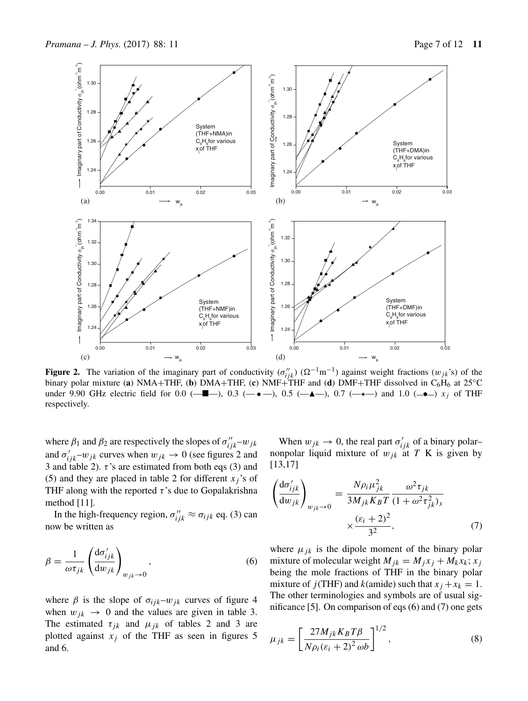

**Figure 2.** The variation of the imaginary part of conductivity  $(\sigma_{ijk}^{"})$  ( $\Omega^{-1}$ m<sup>-1</sup>) against weight fractions  $(w_{jk}$ 's) of the binary polar mixture (**a**) NMA+THF, (**b**) DMA+THF, (**c**) NMF+THF and (**d**) DMF+THF dissolved in C6H6 at 25◦C under 9.90 GHz electric field for 0.0 (- $\blacksquare$ ), 0.3 (- $\bullet$ ), 0.5 (- $\blacktriangle$ ), 0.7 (- $\star$ ) and 1.0 (- $\bullet$ ) x<sub>j</sub> of THF respectively.

where  $\beta_1$  and  $\beta_2$  are respectively the slopes of  $\sigma_{ijk}^{\prime\prime}$ - $w_{jk}$ and  $\sigma'_{ijk}$ - $w_{jk}$  curves when  $w_{jk} \rightarrow 0$  (see figures 2 and 3 and table 2).  $\tau$ 's are estimated from both eqs (3) and (5) and they are placed in table 2 for different  $x_i$ 's of THF along with the reported  $\tau$ 's due to Gopalakrishna method [11].

In the high-frequency region,  $\sigma_{ijk}'' \approx \sigma_{ijk}$  eq. (3) can now be written as

$$
\beta = \frac{1}{\omega \tau_{jk}} \left( \frac{\mathrm{d}\sigma'_{ijk}}{\mathrm{d}w_{jk}} \right)_{w_{jk} \to 0},\tag{6}
$$

where  $\beta$  is the slope of  $\sigma_{ijk}$ – $w_{jk}$  curves of figure 4 when  $w_{jk} \rightarrow 0$  and the values are given in table 3. The estimated  $\tau_{jk}$  and  $\mu_{jk}$  of tables 2 and 3 are plotted against  $x_j$  of the THF as seen in figures 5 and 6.

When  $w_{jk} \to 0$ , the real part  $\sigma'_{ijk}$  of a binary polar– nonpolar liquid mixture of  $w_{jk}$  at T K is given by [13,17]

$$
\left(\frac{d\sigma'_{ijk}}{dw_{jk}}\right)_{w_{jk}\to 0} = \frac{N\rho_i\mu_{jk}^2}{3M_{jk}K_BT} \frac{\omega^2\tau_{jk}}{(1+\omega^2\tau_{jk}^2)_x}
$$
\n
$$
\times \frac{(\varepsilon_i+2)^2}{3^2},\tag{7}
$$

where  $\mu_{ik}$  is the dipole moment of the binary polar mixture of molecular weight  $M_{jk} = M_j x_j + M_k x_k; x_j$ being the mole fractions of THF in the binary polar mixture of  $j$ (THF) and  $k$ (amide) such that  $x_j + x_k = 1$ . The other terminologies and symbols are of usual significance [5]. On comparison of eqs (6) and (7) one gets

$$
\mu_{jk} = \left[\frac{27M_{jk}K_B T\beta}{N\rho_i(\varepsilon_i + 2)^2 \omega b}\right]^{1/2},\tag{8}
$$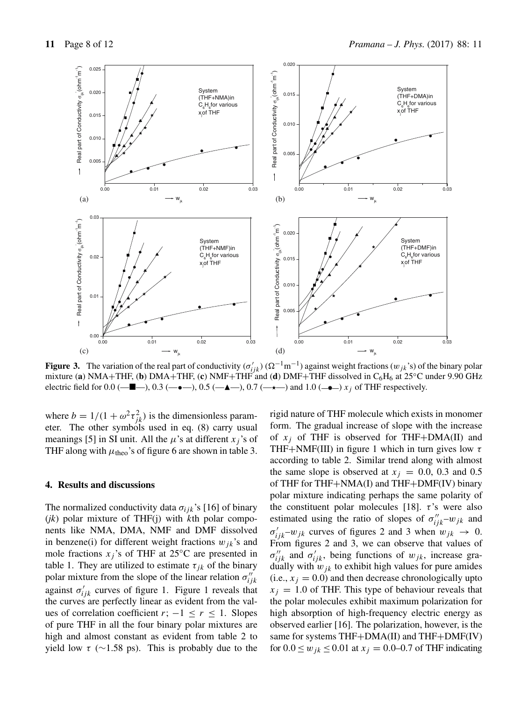

**Figure 3.** The variation of the real part of conductivity  $(\sigma'_{ijk}) (\Omega^{-1} m^{-1})$  against weight fractions  $(w_{jk})$  of the binary polar mixture (**a**) NMA+THF, (**b**) DMA+THF, (**c**) NMF+THF and (**d**) DMF+THF dissolved in C6H6 at 25◦C under 9.90 GHz electric field for 0.0 ( $-\blacksquare$ ), 0.3 ( $-\bullet$ ), 0.5 ( $-\blacktriangle$ ), 0.7 ( $-\star$ ) and 1.0 ( $-\bullet$ ) x<sub>j</sub> of THF respectively.

where  $b = 1/(1 + \omega^2 \tau_{jk}^2)$  is the dimensionless parameter. The other symbols used in eq. (8) carry usual meanings [5] in SI unit. All the  $\mu$ 's at different  $x_j$ 's of THF along with  $\mu_{theo}$ 's of figure 6 are shown in table 3.

### **4. Results and discussions**

The normalized conductivity data  $\sigma_{ijk}$ 's [16] of binary (*jk*) polar mixture of THF(j) with kth polar components like NMA, DMA, NMF and DMF dissolved in benzene(i) for different weight fractions  $w_{ik}$ 's and mole fractions  $x_j$ 's of THF at 25°C are presented in table 1. They are utilized to estimate  $\tau_{ik}$  of the binary polar mixture from the slope of the linear relation  $\sigma_{ijk}''$ against  $\sigma'_{ijk}$  curves of figure 1. Figure 1 reveals that the curves are perfectly linear as evident from the values of correlation coefficient  $r$ ;  $-1 \le r \le 1$ . Slopes of pure THF in all the four binary polar mixtures are high and almost constant as evident from table 2 to yield low  $\tau$  (~1.58 ps). This is probably due to the rigid nature of THF molecule which exists in monomer form. The gradual increase of slope with the increase of  $x_i$  of THF is observed for THF+DMA(II) and THF+NMF(III) in figure 1 which in turn gives low  $\tau$ according to table 2. Similar trend along with almost the same slope is observed at  $x_j = 0.0, 0.3$  and 0.5 of THF for THF+NMA(I) and THF+DMF(IV) binary polar mixture indicating perhaps the same polarity of the constituent polar molecules [18].  $\tau$ 's were also estimated using the ratio of slopes of  $\sigma_{ijk}^{"-} - w_{jk}$  and  $\sigma'_{ijk} - w_{jk}$  curves of figures 2 and 3 when  $w_{jk} \to 0$ . From figures 2 and 3, we can observe that values of  $\sigma_{ijk}^{\prime\prime}$  and  $\sigma_{ijk}^{\prime}$ , being functions of  $w_{jk}$ , increase gradually with  $w_{jk}$  to exhibit high values for pure amides (i.e.,  $x_i = 0.0$ ) and then decrease chronologically upto  $x_i = 1.0$  of THF. This type of behaviour reveals that the polar molecules exhibit maximum polarization for high absorption of high-frequency electric energy as observed earlier [16]. The polarization, however, is the same for systems THF+DMA(II) and THF+DMF(IV) for  $0.0 \leq w_{ik} \leq 0.01$  at  $x_i = 0.0$ –0.7 of THF indicating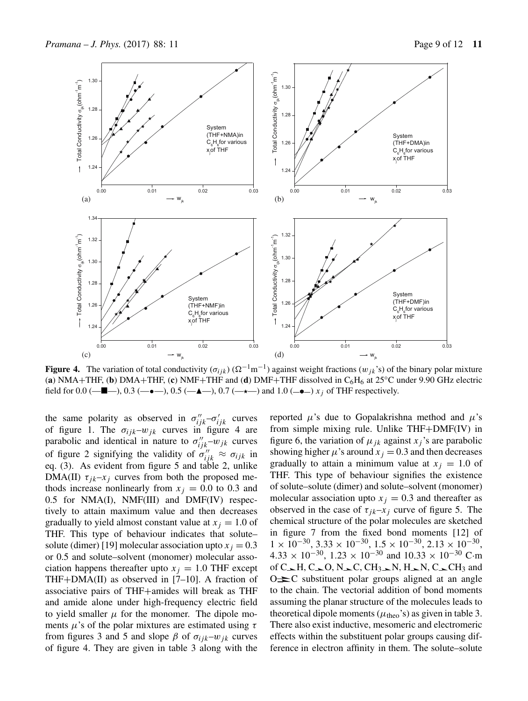

**Figure 4.** The variation of total conductivity ( $\sigma_{ijk}$ ) ( $\Omega^{-1}$ m<sup>-1</sup>) against weight fractions ( $w_{jk}$ 's) of the binary polar mixture (**a**) NMA+THF, (**b**) DMA+THF, (**c**) NMF+THF and (**d**) DMF+THF dissolved in  $C_6H_6$  at 25 $°C$  under 9.90 GHz electric field for 0.0 ( $\blacksquare$ ), 0.3 ( $\blacksquare$ ), 0.5 ( $\blacksquare$  $\blacksquare$ ), 0.7 ( $\rightarrow$  $\blacksquare$ ) and 1.0 ( $\blacksquare$  $\blacksquare$ ) x<sub>j</sub> of THF respectively.

the same polarity as observed in  $\sigma_{ijk}^{\prime\prime} - \sigma_{ijk}^{\prime\prime}$  curves of figure 1. The  $\sigma_{ijk} - w_{jk}$  curves in figure 4 are parabolic and identical in nature to  $\sigma_{ijk}^{\prime\prime}$ - $w_{jk}$  curves of figure 2 signifying the validity of  $\sigma_{ijk}^{"} \approx \sigma_{ijk}$  in eq. (3). As evident from figure 5 and table 2, unlike DMA(II)  $\tau_{jk}$ – $x_j$  curves from both the proposed methods increase nonlinearly from  $x_i = 0.0$  to 0.3 and 0.5 for NMA(I), NMF(III) and DMF(IV) respectively to attain maximum value and then decreases gradually to yield almost constant value at  $x_i = 1.0$  of THF. This type of behaviour indicates that solute– solute (dimer) [19] molecular association upto  $x_i = 0.3$ or 0.5 and solute–solvent (monomer) molecular association happens thereafter upto  $x<sub>i</sub> = 1.0$  THF except THF+DMA(II) as observed in [7–10]. A fraction of associative pairs of THF+amides will break as THF and amide alone under high-frequency electric field to yield smaller  $\mu$  for the monomer. The dipole moments  $\mu$ 's of the polar mixtures are estimated using  $\tau$ from figures 3 and 5 and slope  $\beta$  of  $\sigma_{ijk} - w_{jk}$  curves of figure 4. They are given in table 3 along with the

reported  $\mu$ 's due to Gopalakrishna method and  $\mu$ 's from simple mixing rule. Unlike THF+DMF(IV) in figure 6, the variation of  $\mu_{ik}$  against  $x_i$ 's are parabolic showing higher  $\mu$ 's around  $x_j = 0.3$  and then decreases gradually to attain a minimum value at  $x_i = 1.0$  of THF. This type of behaviour signifies the existence of solute–solute (dimer) and solute–solvent (monomer) molecular association upto  $x_j = 0.3$  and thereafter as observed in the case of  $\tau_{jk}$ – $x_j$  curve of figure 5. The chemical structure of the polar molecules are sketched in figure 7 from the fixed bond moments [12] of  $1 \times 10^{-30}$ ,  $3.33 \times 10^{-30}$ ,  $1.5 \times 10^{-30}$ ,  $2.13 \times 10^{-30}$ ,  $4.33 \times 10^{-30}$ ,  $1.23 \times 10^{-30}$  and  $10.33 \times 10^{-30}$  C·m of C H, C O, N C, CH<sub>3</sub> N, H N, C CH<sub>3</sub> and  $O \neq C$  substituent polar groups aligned at an angle to the chain. The vectorial addition of bond moments assuming the planar structure of the molecules leads to theoretical dipole moments ( $\mu$ <sub>theo</sub>'s) as given in table 3. There also exist inductive, mesomeric and electromeric effects within the substituent polar groups causing difference in electron affinity in them. The solute–solute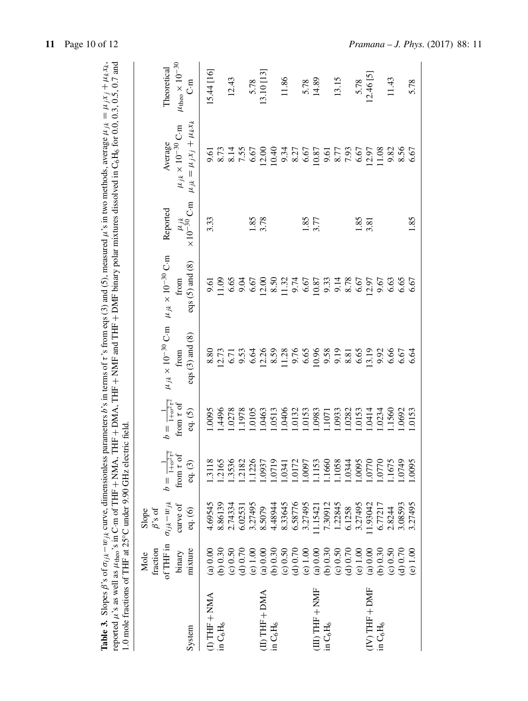| 1.0 mole fractions of THF at 25°C under 9.90 GHz electric field |                                                    |                                                                             |                                                               |                                                                  |                                                               |                                                                      |                                                  | Table 3. Slopes $\beta$ 's of $\sigma_{ijk} - w_{jk}$ curve, dimensionless parameters $b$ 's in terms of $\tau$ 's from eqs (3) and (5), measured $\mu$ 's in two methods, average $\mu_{jk} = \mu_j x_j + \mu_k x_k$ , reported $\mu$ 's as well as $\mu_{\text{theo}}$ 's |                                                                 |
|-----------------------------------------------------------------|----------------------------------------------------|-----------------------------------------------------------------------------|---------------------------------------------------------------|------------------------------------------------------------------|---------------------------------------------------------------|----------------------------------------------------------------------|--------------------------------------------------|-----------------------------------------------------------------------------------------------------------------------------------------------------------------------------------------------------------------------------------------------------------------------------|-----------------------------------------------------------------|
| System                                                          | of THF in<br>fraction<br>mixture<br>binary<br>Mole | $\sigma_{i j k} - w_{j k}$<br>curve of<br>$\beta$ 's of<br>eq. (6)<br>Slope | $b = \frac{1}{1 + \omega^2 \tau^2}$ from $\tau$ of<br>eq. (3) | $b = \frac{1}{1 + \omega^2 \tau^2}$<br>from $\tau$ of<br>eq. (5) | $\mu_{jk} \times 10^{-30}$ C·m<br>eqs $(3)$ and $(8)$<br>from | $\mu$ $_{jk}$ $\times$ $10^{-30}$ C m<br>eqs $(5)$ and $(8)$<br>from | $\mu_{jk}$<br>×10 <sup>-30</sup> C·m<br>Reported | $\mu_{jk} = \mu_j x_j + \mu_k x_k$<br>$\mu_{jk} \times 10^{-30}\,\mathrm{C\!$ m<br>Average                                                                                                                                                                                  | $\mu_{\mathrm{theo}} \times 10^{-30}$<br>Theoretical<br>Γ.<br>Π |
| $(D)$ THF + NMA<br>in $\mathrm{C_6H_6}$                         | (b) 0.30<br>( a ) 0.00                             | 4.69545<br>8.86139                                                          | 1.3118<br>1.2165                                              | 4496<br>1.0095                                                   | 8.80<br>12.73                                                 | 11.09<br>9.61                                                        | 3.33                                             | 8.73<br>9.61                                                                                                                                                                                                                                                                | 15.44 [16]                                                      |
|                                                                 | ( c ) 0.50                                         | 2.74334                                                                     | .3536                                                         | 1.0278                                                           | 6.71                                                          | 6.65                                                                 |                                                  | 8.14                                                                                                                                                                                                                                                                        | 12.43                                                           |
|                                                                 | (4) 0.70<br>(e) $1.00$                             | 3.27495<br>6.02531                                                          | .2182<br>.1226                                                | 1.1978<br>1.0105                                                 | 6.64<br>9.53                                                  | 6.67                                                                 |                                                  | 7.55<br>6.67                                                                                                                                                                                                                                                                | 5.78                                                            |
| $(II)$ THF + DMA                                                | ( a ) 0.00                                         | 8.5079                                                                      | .0937                                                         | 1.0463                                                           | 12.26                                                         | 12.00                                                                | 1.85                                             | 12.00                                                                                                                                                                                                                                                                       | 13.10 [13]                                                      |
| in C <sub>6</sub> H <sub>6</sub>                                | (6) 0.30                                           | 4.48944                                                                     | 1.0719                                                        | 1.0513                                                           | 8.59                                                          | $8.50$<br>11.32                                                      |                                                  | 10.40                                                                                                                                                                                                                                                                       |                                                                 |
|                                                                 | ( c) 0.50                                          | 8.33645                                                                     | .0341                                                         | .0406                                                            | 11.28                                                         |                                                                      |                                                  | 9.34                                                                                                                                                                                                                                                                        | 11.86                                                           |
|                                                                 | (4) 0.70                                           | 6.58776                                                                     | 1.0172                                                        | 1.0132                                                           | 9.76                                                          | 6.67                                                                 |                                                  | 8.27                                                                                                                                                                                                                                                                        |                                                                 |
| $(III)$ THF + NMF                                               | ( a ) 0.00<br>(e) 1.00                             | 3.27495<br>1.15421                                                          | 1.0097<br>1.1153                                              | 1.0153<br>1.0983                                                 | 10.96<br>6.65                                                 | 10.87                                                                | 1.85<br>3.77                                     | 6.67<br>10.87                                                                                                                                                                                                                                                               | 14.89<br>5.78                                                   |
| in $C_6H_6$                                                     | (b) 0.30                                           | 7.30912                                                                     | .1660                                                         | 1.1071                                                           |                                                               |                                                                      |                                                  | 9.61                                                                                                                                                                                                                                                                        |                                                                 |
|                                                                 | (0.50)                                             | 1.22845                                                                     | 1.1058                                                        | 1.0933                                                           | 9.58<br>9.19                                                  | 9.33<br>9.14<br>8.78                                                 |                                                  | 8.77                                                                                                                                                                                                                                                                        | 13.15                                                           |
|                                                                 | (4) 0.70                                           | 6.1258                                                                      | 1.0344                                                        | .0282                                                            | 8.81                                                          |                                                                      |                                                  | 7.93                                                                                                                                                                                                                                                                        |                                                                 |
|                                                                 | (e) $1.00$                                         | 3.27495                                                                     | 1.0095                                                        | 1.0153                                                           | 6.65                                                          | 6.67                                                                 | 1.85                                             | 6.67                                                                                                                                                                                                                                                                        | 5.78                                                            |
| $(IV)$ THF $+$ DMF                                              | ( a ) 0.00                                         | 1.93042                                                                     | .0770                                                         | .0414                                                            | 13.19                                                         | 12.97                                                                | 3.81                                             | 12.97                                                                                                                                                                                                                                                                       | 12.46 [5]                                                       |
| in C <sub>6</sub> H <sub>6</sub>                                | (6) 0.30                                           | 6.77217                                                                     | 1.0770                                                        | .0234                                                            | 9.92                                                          | 9.67                                                                 |                                                  | 11.08                                                                                                                                                                                                                                                                       |                                                                 |
|                                                                 | (50)                                               | 2.8244                                                                      | .1675                                                         | .1560                                                            | 6.66                                                          | 6.63                                                                 |                                                  | 9.82                                                                                                                                                                                                                                                                        | 11.43                                                           |
|                                                                 | ( d ) 0.70                                         | 3.08593                                                                     | .0749                                                         | 1.0692                                                           | 6.67                                                          | 6.65                                                                 |                                                  | 8.56                                                                                                                                                                                                                                                                        |                                                                 |
|                                                                 | (e) 1.00                                           | 3.27495                                                                     | 1.0095                                                        | .0153                                                            | 6.64                                                          | 6.67                                                                 | .85                                              | 6.67                                                                                                                                                                                                                                                                        | 5.78                                                            |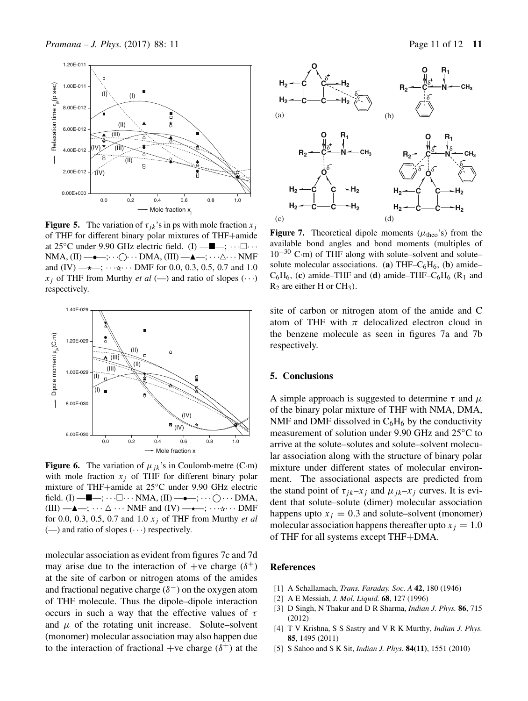

**Figure 5.** The variation of  $\tau_{ik}$ 's in ps with mole fraction  $x_i$ of THF for different binary polar mixtures of THF+amide at 25 $^{\circ}$ C under 9.90 GHz electric field. (I) — $\blacksquare$ —;  $\cdots \square \cdots$  $NMA, (II) \longrightarrow$ ;... $\bigcirc \cdots$  DMA,  $(III) \longrightarrow$ ;... $\triangle \cdots$  NMF and (IV)  $\longrightarrow$ ;  $\cdots$   $\longrightarrow$   $\cdots$   $\longrightarrow$   $\cdots$  DMF for 0.0, 0.3, 0.5, 0.7 and 1.0  $x_i$  of THF from Murthy *et al* (--) and ratio of slopes ( $\cdots$ ) respectively.



**Figure 6.** The variation of  $\mu_{ik}$ 's in Coulomb metre (C·m) with mole fraction  $x_i$  of THF for different binary polar mixture of THF+amide at 25◦C under 9.90 GHz electric field. (I) — $\blacksquare$ —;  $\cdots \square \cdots \text{NMA}$ , (II) — $\bullet$ —;  $\cdots \bigcirc \cdots \text{DMA}$ ,  $(III) \longrightarrow \longrightarrow$ ;  $\cdots \triangle \cdots$  NMF and  $(IV) \longrightarrow$ ;  $\cdots \triangle \cdots$  DMF for 0.0, 0.3, 0.5, 0.7 and 1.0 xj of THF from Murthy *et al*  $(-)$  and ratio of slopes  $(\cdot \cdot \cdot)$  respectively.

molecular association as evident from figures 7c and 7d may arise due to the interaction of +ve charge  $(\delta^+)$ at the site of carbon or nitrogen atoms of the amides and fractional negative charge  $(\delta^-)$  on the oxygen atom of THF molecule. Thus the dipole–dipole interaction occurs in such a way that the effective values of  $\tau$ and  $\mu$  of the rotating unit increase. Solute–solvent (monomer) molecular association may also happen due to the interaction of fractional +ve charge  $(\delta^+)$  at the



**Figure 7.** Theoretical dipole moments ( $\mu_{\text{theo}}$ 's) from the available bond angles and bond moments (multiples of  $10^{-30}$  C·m) of THF along with solute–solvent and solute– solute molecular associations. (**a**) THF– $C_6H_6$ , (**b**) amide–  $C_6H_6$ , (c) amide–THF and (d) amide–THF– $C_6H_6$  (R<sub>1</sub> and  $R_2$  are either H or  $CH_3$ ).

site of carbon or nitrogen atom of the amide and C atom of THF with  $\pi$  delocalized electron cloud in the benzene molecule as seen in figures 7a and 7b respectively.

### **5. Conclusions**

A simple approach is suggested to determine  $\tau$  and  $\mu$ of the binary polar mixture of THF with NMA, DMA, NMF and DMF dissolved in  $C_6H_6$  by the conductivity measurement of solution under 9.90 GHz and 25◦C to arrive at the solute–solutes and solute–solvent molecular association along with the structure of binary polar mixture under different states of molecular environment. The associational aspects are predicted from the stand point of  $\tau_{jk}$ – $x_j$  and  $\mu_{jk}$ – $x_j$  curves. It is evident that solute–solute (dimer) molecular association happens upto  $x_j = 0.3$  and solute–solvent (monomer) molecular association happens thereafter upto  $x_i = 1.0$ of THF for all systems except THF+DMA.

### **References**

- [1] A Schallamach, *Trans. Faraday. Soc. A* **42**, 180 (1946)
- [2] A E Messiah, *J. Mol. Liquid.* **68**, 127 (1996)
- [3] D Singh, N Thakur and D R Sharma, *Indian J. Phys.* **86**, 715 (2012)
- [4] T V Krishna, S S Sastry and V R K Murthy, *Indian J. Phys.* **85**, 1495 (2011)
- [5] S Sahoo and S K Sit, *Indian J. Phys.* **84(11)**, 1551 (2010)